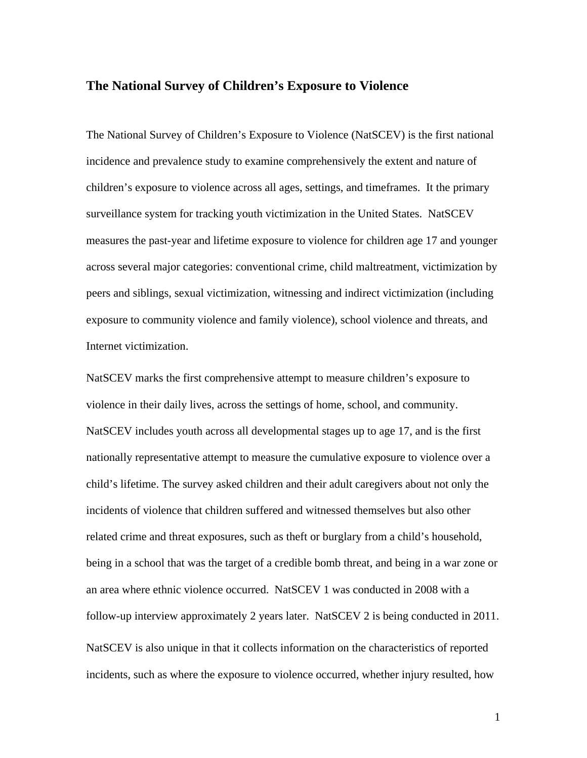## **The National Survey of Children's Exposure to Violence**

The National Survey of Children's Exposure to Violence (NatSCEV) is the first national incidence and prevalence study to examine comprehensively the extent and nature of children's exposure to violence across all ages, settings, and timeframes. It the primary surveillance system for tracking youth victimization in the United States. NatSCEV measures the past-year and lifetime exposure to violence for children age 17 and younger across several major categories: conventional crime, child maltreatment, victimization by peers and siblings, sexual victimization, witnessing and indirect victimization (including exposure to community violence and family violence), school violence and threats, and Internet victimization.

NatSCEV marks the first comprehensive attempt to measure children's exposure to violence in their daily lives, across the settings of home, school, and community. NatSCEV includes youth across all developmental stages up to age 17, and is the first nationally representative attempt to measure the cumulative exposure to violence over a child's lifetime. The survey asked children and their adult caregivers about not only the incidents of violence that children suffered and witnessed themselves but also other related crime and threat exposures, such as theft or burglary from a child's household, being in a school that was the target of a credible bomb threat, and being in a war zone or an area where ethnic violence occurred. NatSCEV 1 was conducted in 2008 with a follow-up interview approximately 2 years later. NatSCEV 2 is being conducted in 2011. NatSCEV is also unique in that it collects information on the characteristics of reported incidents, such as where the exposure to violence occurred, whether injury resulted, how

1